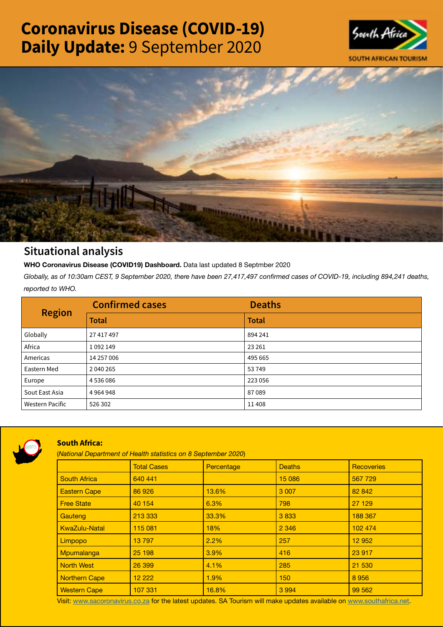# Coronavirus Disease (COVID-19) Daily Update: 9 September 2020





## Situational analysis

**WHO Coronavirus Disease (COVID19) Dashboard.** Data last updated 8 Septmber 2020

*Globally, as of 10:30am CEST, 9 September 2020, there have been 27,417,497 confirmed cases of COVID-19, including 894,241 deaths, reported to WHO.*

| <b>Region</b>          | <b>Confirmed cases</b> | <b>Deaths</b> |
|------------------------|------------------------|---------------|
|                        | <b>Total</b>           | <b>Total</b>  |
| Globally               | 27 417 497             | 894 241       |
| Africa                 | 1092149                | 23 26 1       |
| Americas               | 14 257 006             | 495 665       |
| Eastern Med            | 2 040 265              | 53749         |
| Europe                 | 4536086                | 223 056       |
| Sout East Asia         | 4964948                | 87089         |
| <b>Western Pacific</b> | 526 302                | 11408         |



### South Africa:

(*National Department of Health statistics on 8 September 2020*)

|                      | <b>Total Cases</b> | Percentage | <b>Deaths</b> | <b>Recoveries</b> |  |
|----------------------|--------------------|------------|---------------|-------------------|--|
| <b>South Africa</b>  | 640 441            |            | 15 086        | 567 729           |  |
| <b>Eastern Cape</b>  | 86 926             | 13.6%      | 3 0 0 7       | 82 842            |  |
| <b>Free State</b>    | 40 154             | 6.3%       | 798           | 27 129            |  |
| Gauteng              | 213 333            | 33.3%      | 3833          | 188 367           |  |
| <b>KwaZulu-Natal</b> | 115 081            | 18%        | 2 3 4 6       | 102 474           |  |
| Limpopo              | 13797              | 2.2%       | 257           | 12 952            |  |
| Mpumalanga           | 25 198             | 3.9%       | 416           | 23 917            |  |
| <b>North West</b>    | 26 399             | 4.1%       | 285           | 21 530            |  |
| Northern Cape        | 12 222             | 1.9%       | 150           | 8956              |  |
| <b>Western Cape</b>  | 107 331            | 16.8%      | 3 9 9 4       | 99 562            |  |

Visit: [www.sacoronavirus.co.za](http://www.sacoronavirus.co.za) for the latest updates. SA Tourism will make updates available on [www.southafrica.net.](http://www.southafrica.net)